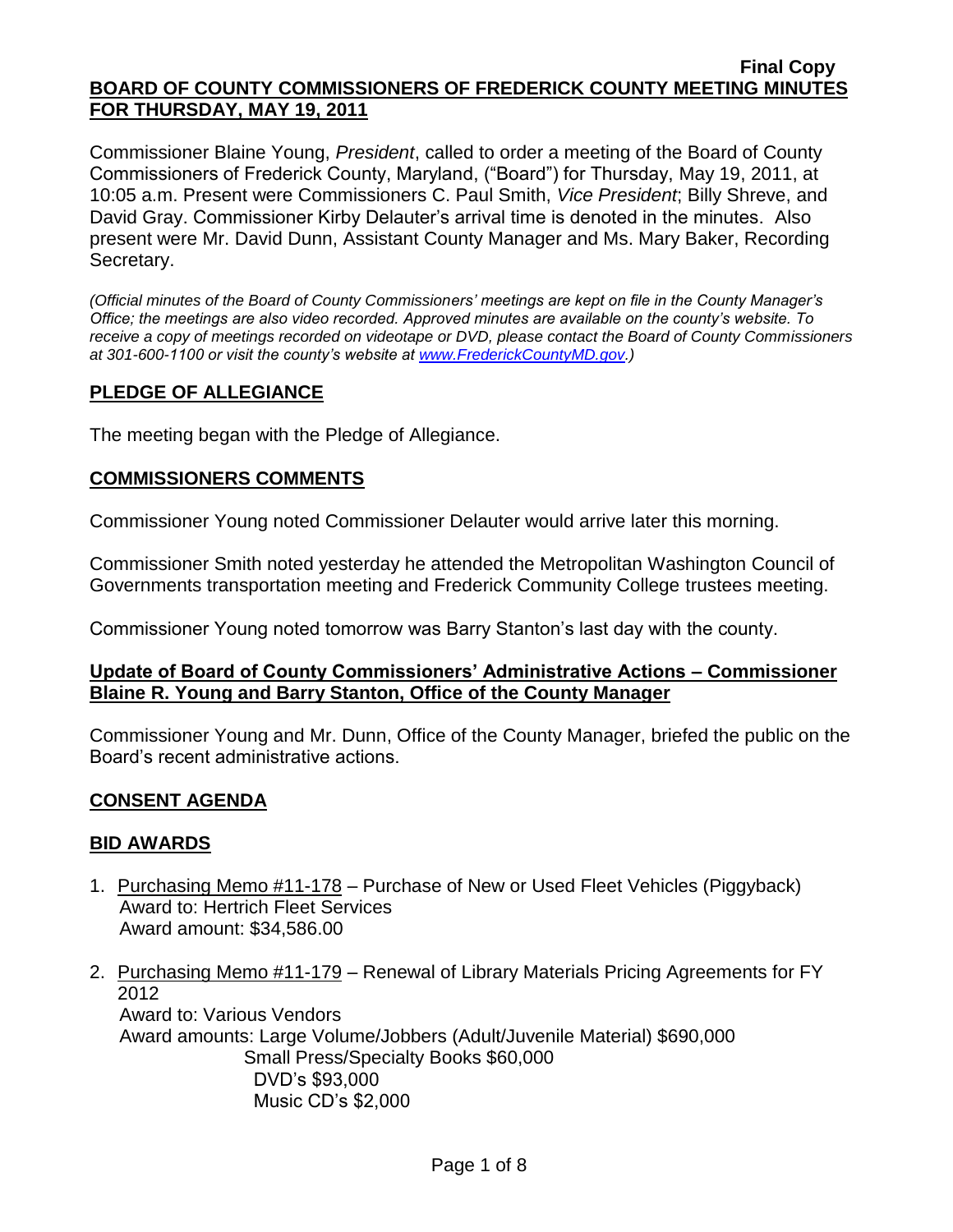Commissioner Blaine Young, *President*, called to order a meeting of the Board of County Commissioners of Frederick County, Maryland, ("Board") for Thursday, May 19, 2011, at 10:05 a.m. Present were Commissioners C. Paul Smith, *Vice President*; Billy Shreve, and David Gray. Commissioner Kirby Delauter's arrival time is denoted in the minutes. Also present were Mr. David Dunn, Assistant County Manager and Ms. Mary Baker, Recording Secretary.

*(Official minutes of the Board of County Commissioners' meetings are kept on file in the County Manager's Office; the meetings are also video recorded. Approved minutes are available on the county's website. To receive a copy of meetings recorded on videotape or DVD, please contact the Board of County Commissioners at 301-600-1100 or visit the county's website at [www.FrederickCountyMD.gov.](http://www.frederickcountymd.gov/))*

## **PLEDGE OF ALLEGIANCE**

The meeting began with the Pledge of Allegiance.

## **COMMISSIONERS COMMENTS**

Commissioner Young noted Commissioner Delauter would arrive later this morning.

Commissioner Smith noted yesterday he attended the Metropolitan Washington Council of Governments transportation meeting and Frederick Community College trustees meeting.

Commissioner Young noted tomorrow was Barry Stanton's last day with the county.

## **Update of Board of County Commissioners' Administrative Actions – Commissioner Blaine R. Young and Barry Stanton, Office of the County Manager**

Commissioner Young and Mr. Dunn, Office of the County Manager, briefed the public on the Board's recent administrative actions.

## **CONSENT AGENDA**

## **BID AWARDS**

- 1. Purchasing Memo #11-178 Purchase of New or Used Fleet Vehicles (Piggyback) Award to: Hertrich Fleet Services Award amount: \$34,586.00
- 2. Purchasing Memo #11-179 Renewal of Library Materials Pricing Agreements for FY 2012 Award to: Various Vendors Award amounts: Large Volume/Jobbers (Adult/Juvenile Material) \$690,000 Small Press/Specialty Books \$60,000 DVD's \$93,000 Music CD's \$2,000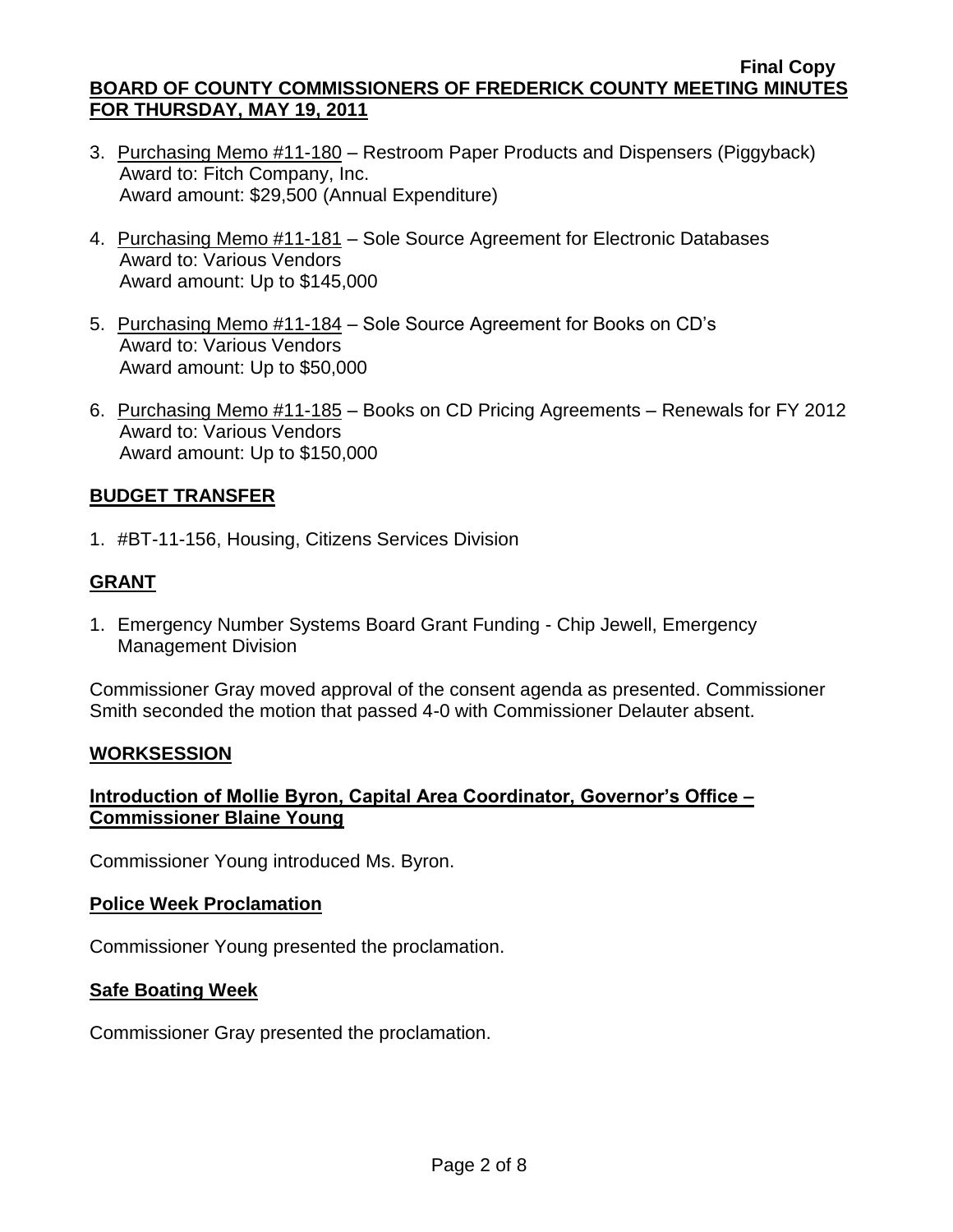- 3. Purchasing Memo #11-180 Restroom Paper Products and Dispensers (Piggyback) Award to: Fitch Company, Inc. Award amount: \$29,500 (Annual Expenditure)
- 4. Purchasing Memo #11-181 Sole Source Agreement for Electronic Databases Award to: Various Vendors Award amount: Up to \$145,000
- 5. Purchasing Memo #11-184 Sole Source Agreement for Books on CD's Award to: Various Vendors Award amount: Up to \$50,000
- 6. Purchasing Memo #11-185 Books on CD Pricing Agreements Renewals for FY 2012 Award to: Various Vendors Award amount: Up to \$150,000

# **BUDGET TRANSFER**

1. #BT-11-156, Housing, Citizens Services Division

# **GRANT**

1. Emergency Number Systems Board Grant Funding - Chip Jewell, Emergency Management Division

Commissioner Gray moved approval of the consent agenda as presented. Commissioner Smith seconded the motion that passed 4-0 with Commissioner Delauter absent.

## **WORKSESSION**

# **Introduction of Mollie Byron, Capital Area Coordinator, Governor's Office – Commissioner Blaine Young**

Commissioner Young introduced Ms. Byron.

## **Police Week Proclamation**

Commissioner Young presented the proclamation.

## **Safe Boating Week**

Commissioner Gray presented the proclamation.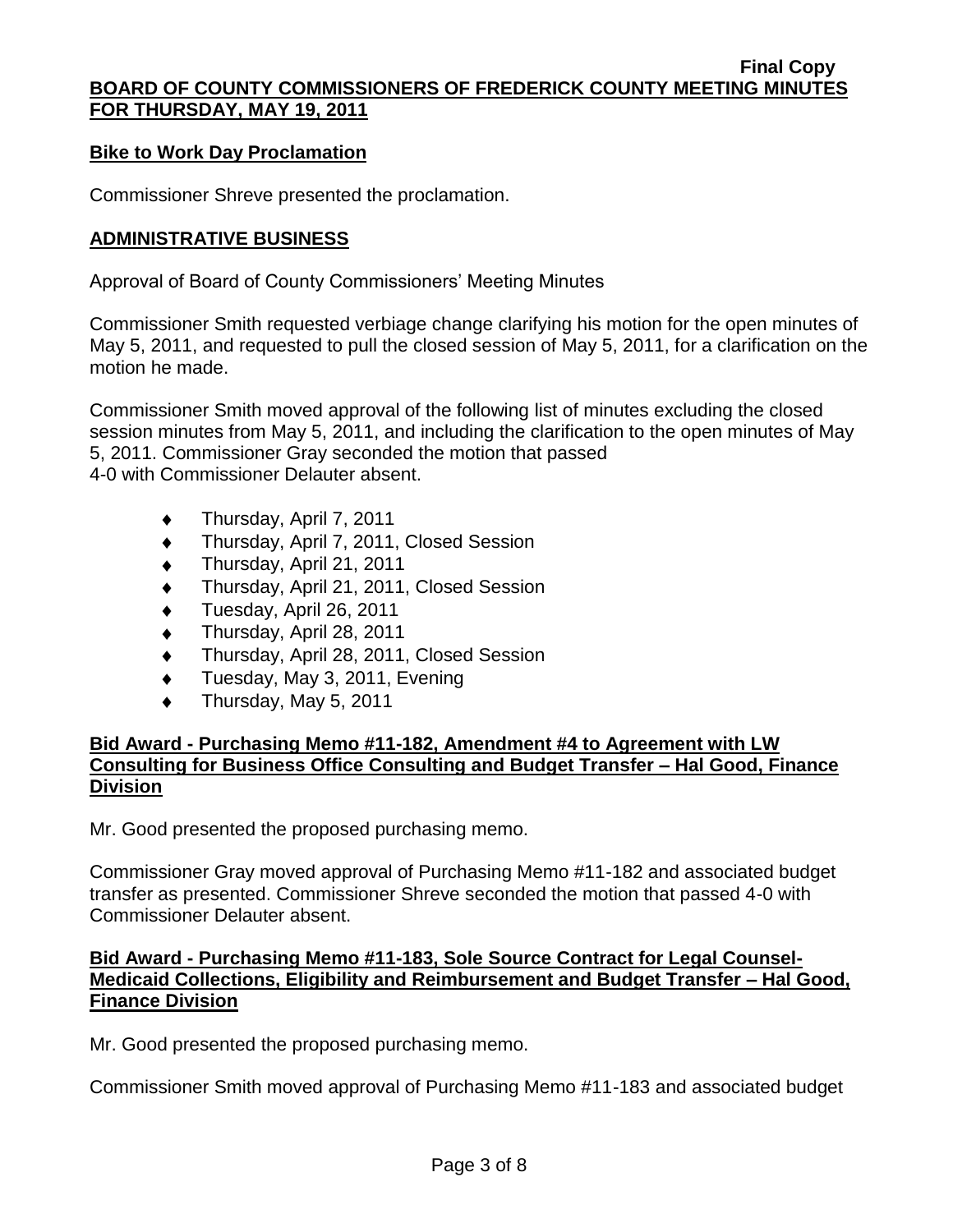#### **Bike to Work Day Proclamation**

Commissioner Shreve presented the proclamation.

#### **ADMINISTRATIVE BUSINESS**

Approval of Board of County Commissioners' Meeting Minutes

Commissioner Smith requested verbiage change clarifying his motion for the open minutes of May 5, 2011, and requested to pull the closed session of May 5, 2011, for a clarification on the motion he made.

Commissioner Smith moved approval of the following list of minutes excluding the closed session minutes from May 5, 2011, and including the clarification to the open minutes of May 5, 2011. Commissioner Gray seconded the motion that passed 4-0 with Commissioner Delauter absent.

- Thursday, April 7, 2011
- Thursday, April 7, 2011, Closed Session  $\ddot{\bullet}$
- Thursday, April 21, 2011
- Thursday, April 21, 2011, Closed Session
- Tuesday, April 26, 2011
- Thursday, April 28, 2011  $\blacklozenge$
- Thursday, April 28, 2011, Closed Session  $\ddot{\bullet}$
- Tuesday, May 3, 2011, Evening
- $\bullet$ Thursday, May 5, 2011

## **Bid Award - Purchasing Memo #11-182, Amendment #4 to Agreement with LW Consulting for Business Office Consulting and Budget Transfer – Hal Good, Finance Division**

Mr. Good presented the proposed purchasing memo.

Commissioner Gray moved approval of Purchasing Memo #11-182 and associated budget transfer as presented. Commissioner Shreve seconded the motion that passed 4-0 with Commissioner Delauter absent.

## **Bid Award - Purchasing Memo #11-183, Sole Source Contract for Legal Counsel-Medicaid Collections, Eligibility and Reimbursement and Budget Transfer – Hal Good, Finance Division**

Mr. Good presented the proposed purchasing memo.

Commissioner Smith moved approval of Purchasing Memo #11-183 and associated budget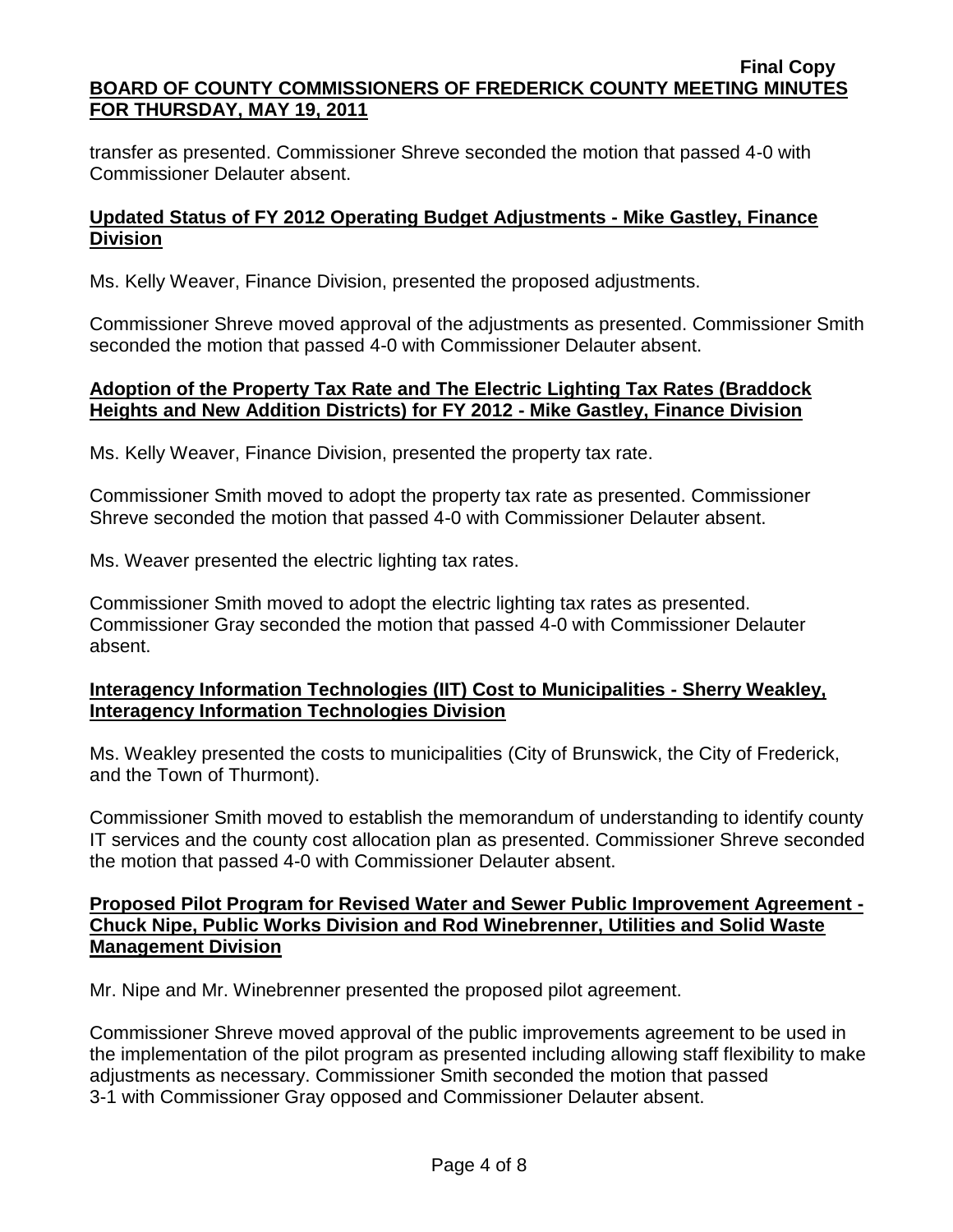transfer as presented. Commissioner Shreve seconded the motion that passed 4-0 with Commissioner Delauter absent.

## **Updated Status of FY 2012 Operating Budget Adjustments - Mike Gastley, Finance Division**

Ms. Kelly Weaver, Finance Division, presented the proposed adjustments.

Commissioner Shreve moved approval of the adjustments as presented. Commissioner Smith seconded the motion that passed 4-0 with Commissioner Delauter absent.

#### **Adoption of the Property Tax Rate and The Electric Lighting Tax Rates (Braddock Heights and New Addition Districts) for FY 2012 - Mike Gastley, Finance Division**

Ms. Kelly Weaver, Finance Division, presented the property tax rate.

Commissioner Smith moved to adopt the property tax rate as presented. Commissioner Shreve seconded the motion that passed 4-0 with Commissioner Delauter absent.

Ms. Weaver presented the electric lighting tax rates.

Commissioner Smith moved to adopt the electric lighting tax rates as presented. Commissioner Gray seconded the motion that passed 4-0 with Commissioner Delauter absent.

## **Interagency Information Technologies (IIT) Cost to Municipalities - Sherry Weakley, Interagency Information Technologies Division**

Ms. Weakley presented the costs to municipalities (City of Brunswick, the City of Frederick, and the Town of Thurmont).

Commissioner Smith moved to establish the memorandum of understanding to identify county IT services and the county cost allocation plan as presented. Commissioner Shreve seconded the motion that passed 4-0 with Commissioner Delauter absent.

## **Proposed Pilot Program for Revised Water and Sewer Public Improvement Agreement - Chuck Nipe, Public Works Division and Rod Winebrenner, Utilities and Solid Waste Management Division**

Mr. Nipe and Mr. Winebrenner presented the proposed pilot agreement.

Commissioner Shreve moved approval of the public improvements agreement to be used in the implementation of the pilot program as presented including allowing staff flexibility to make adjustments as necessary. Commissioner Smith seconded the motion that passed 3-1 with Commissioner Gray opposed and Commissioner Delauter absent.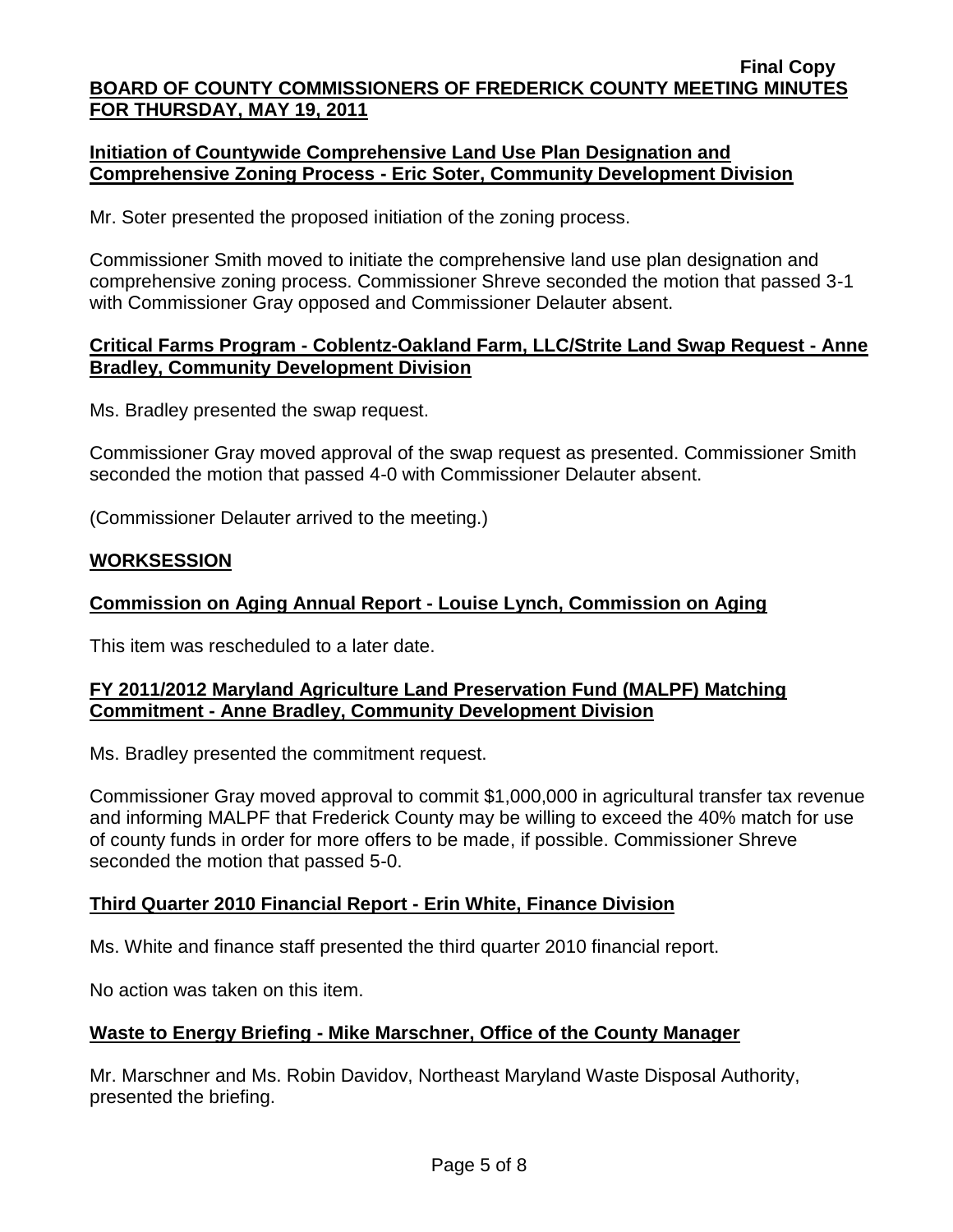## **Initiation of Countywide Comprehensive Land Use Plan Designation and Comprehensive Zoning Process - Eric Soter, Community Development Division**

Mr. Soter presented the proposed initiation of the zoning process.

Commissioner Smith moved to initiate the comprehensive land use plan designation and comprehensive zoning process. Commissioner Shreve seconded the motion that passed 3-1 with Commissioner Gray opposed and Commissioner Delauter absent.

## **Critical Farms Program - Coblentz-Oakland Farm, LLC/Strite Land Swap Request - Anne Bradley, Community Development Division**

Ms. Bradley presented the swap request.

Commissioner Gray moved approval of the swap request as presented. Commissioner Smith seconded the motion that passed 4-0 with Commissioner Delauter absent.

(Commissioner Delauter arrived to the meeting.)

## **WORKSESSION**

## **Commission on Aging Annual Report - Louise Lynch, Commission on Aging**

This item was rescheduled to a later date.

## **FY 2011/2012 Maryland Agriculture Land Preservation Fund (MALPF) Matching Commitment - Anne Bradley, Community Development Division**

Ms. Bradley presented the commitment request.

Commissioner Gray moved approval to commit \$1,000,000 in agricultural transfer tax revenue and informing MALPF that Frederick County may be willing to exceed the 40% match for use of county funds in order for more offers to be made, if possible. Commissioner Shreve seconded the motion that passed 5-0.

## **Third Quarter 2010 Financial Report - Erin White, Finance Division**

Ms. White and finance staff presented the third quarter 2010 financial report.

No action was taken on this item.

## **Waste to Energy Briefing - Mike Marschner, Office of the County Manager**

Mr. Marschner and Ms. Robin Davidov, Northeast Maryland Waste Disposal Authority, presented the briefing.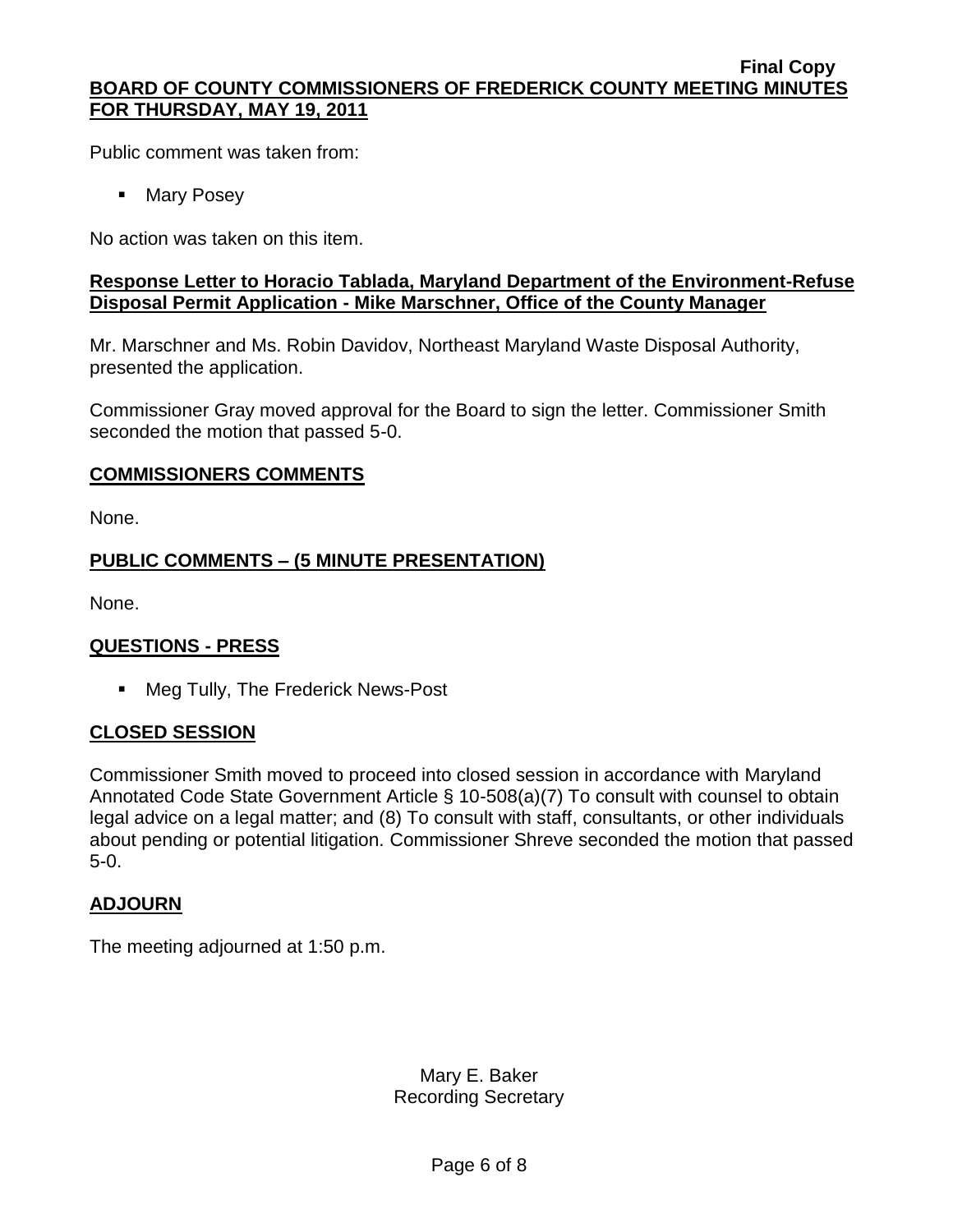Public comment was taken from:

**Mary Posey** 

No action was taken on this item.

## **Response Letter to Horacio Tablada, Maryland Department of the Environment-Refuse Disposal Permit Application - Mike Marschner, Office of the County Manager**

Mr. Marschner and Ms. Robin Davidov, Northeast Maryland Waste Disposal Authority, presented the application.

Commissioner Gray moved approval for the Board to sign the letter. Commissioner Smith seconded the motion that passed 5-0.

## **COMMISSIONERS COMMENTS**

None.

# **PUBLIC COMMENTS – (5 MINUTE PRESENTATION)**

None.

## **QUESTIONS - PRESS**

■ Meg Tully, The Frederick News-Post

## **CLOSED SESSION**

Commissioner Smith moved to proceed into closed session in accordance with Maryland Annotated Code State Government Article § 10-508(a)(7) To consult with counsel to obtain legal advice on a legal matter; and (8) To consult with staff, consultants, or other individuals about pending or potential litigation. Commissioner Shreve seconded the motion that passed 5-0.

## **ADJOURN**

The meeting adjourned at 1:50 p.m.

Mary E. Baker Recording Secretary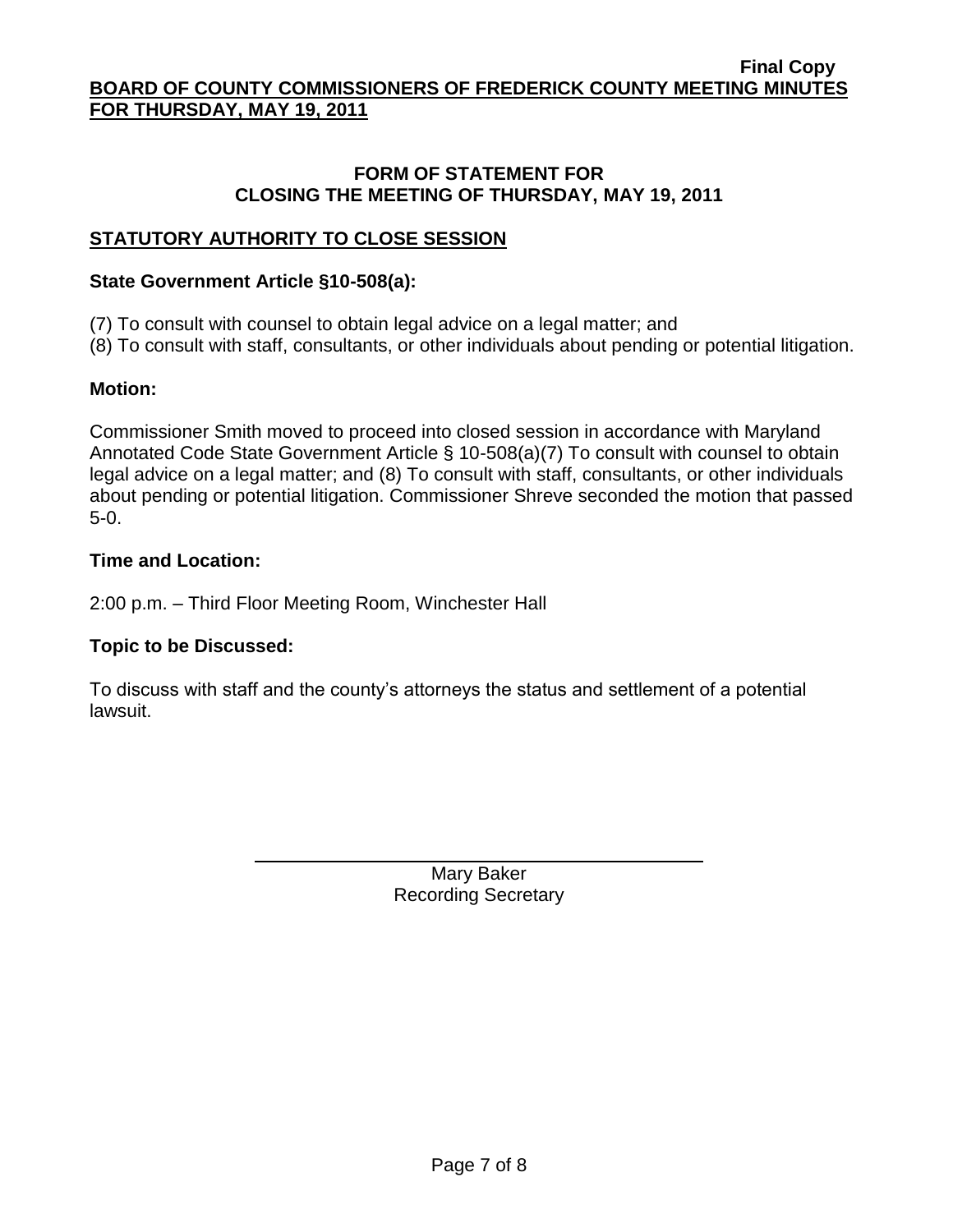## **FORM OF STATEMENT FOR CLOSING THE MEETING OF THURSDAY, MAY 19, 2011**

# **STATUTORY AUTHORITY TO CLOSE SESSION**

# **State Government Article §10-508(a):**

(7) To consult with counsel to obtain legal advice on a legal matter; and

(8) To consult with staff, consultants, or other individuals about pending or potential litigation.

# **Motion:**

Commissioner Smith moved to proceed into closed session in accordance with Maryland Annotated Code State Government Article § 10-508(a)(7) To consult with counsel to obtain legal advice on a legal matter; and (8) To consult with staff, consultants, or other individuals about pending or potential litigation. Commissioner Shreve seconded the motion that passed 5-0.

# **Time and Location:**

2:00 p.m. – Third Floor Meeting Room, Winchester Hall

# **Topic to be Discussed:**

To discuss with staff and the county's attorneys the status and settlement of a potential lawsuit.

> Mary Baker Recording Secretary